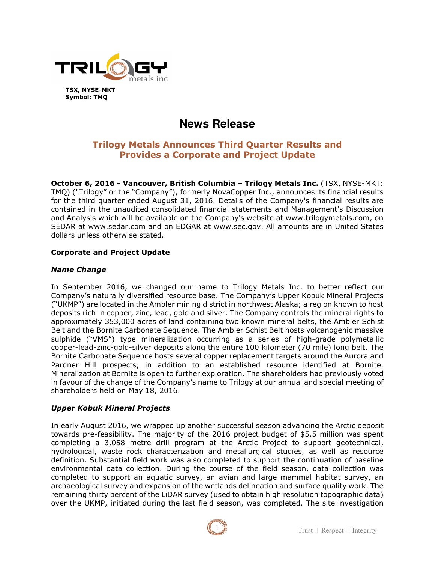

# **News Release**

## **Trilogy Metals Announces Third Quarter Results and Provides a Corporate and Project Update**

**October 6, 2016 - Vancouver, British Columbia – Trilogy Metals Inc.** (TSX, NYSE-MKT: TMQ) ("Trilogy" or the "Company"), formerly NovaCopper Inc., announces its financial results for the third quarter ended August 31, 2016. Details of the Company's financial results are contained in the unaudited consolidated financial statements and Management's Discussion and Analysis which will be available on the Company's website at www.trilogymetals.com, on SEDAR at www.sedar.com and on EDGAR at www.sec.gov. All amounts are in United States dollars unless otherwise stated.

## **Corporate and Project Update**

### *Name Change*

In September 2016, we changed our name to Trilogy Metals Inc. to better reflect our Company's naturally diversified resource base. The Company's Upper Kobuk Mineral Projects ("UKMP") are located in the Ambler mining district in northwest Alaska; a region known to host deposits rich in copper, zinc, lead, gold and silver. The Company controls the mineral rights to approximately 353,000 acres of land containing two known mineral belts, the Ambler Schist Belt and the Bornite Carbonate Sequence. The Ambler Schist Belt hosts volcanogenic massive sulphide ("VMS") type mineralization occurring as a series of high-grade polymetallic copper-lead-zinc-gold-silver deposits along the entire 100 kilometer (70 mile) long belt. The Bornite Carbonate Sequence hosts several copper replacement targets around the Aurora and Pardner Hill prospects, in addition to an established resource identified at Bornite. Mineralization at Bornite is open to further exploration. The shareholders had previously voted in favour of the change of the Company's name to Trilogy at our annual and special meeting of shareholders held on May 18, 2016.

### *Upper Kobuk Mineral Projects*

In early August 2016, we wrapped up another successful season advancing the Arctic deposit towards pre-feasibility. The majority of the 2016 project budget of \$5.5 million was spent completing a 3,058 metre drill program at the Arctic Project to support geotechnical, hydrological, waste rock characterization and metallurgical studies, as well as resource definition. Substantial field work was also completed to support the continuation of baseline environmental data collection. During the course of the field season, data collection was completed to support an aquatic survey, an avian and large mammal habitat survey, an archaeological survey and expansion of the wetlands delineation and surface quality work. The remaining thirty percent of the LiDAR survey (used to obtain high resolution topographic data) over the UKMP, initiated during the last field season, was completed. The site investigation

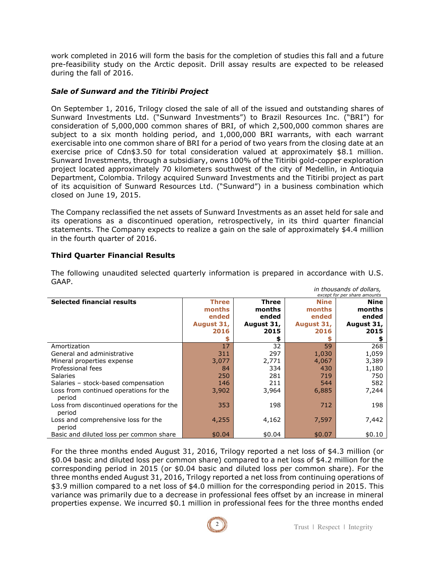work completed in 2016 will form the basis for the completion of studies this fall and a future pre-feasibility study on the Arctic deposit. Drill assay results are expected to be released during the fall of 2016.

## *Sale of Sunward and the Titiribi Project*

On September 1, 2016, Trilogy closed the sale of all of the issued and outstanding shares of Sunward Investments Ltd. ("Sunward Investments") to Brazil Resources Inc. ("BRI") for consideration of 5,000,000 common shares of BRI, of which 2,500,000 common shares are subject to a six month holding period, and 1,000,000 BRI warrants, with each warrant exercisable into one common share of BRI for a period of two years from the closing date at an exercise price of Cdn\$3.50 for total consideration valued at approximately \$8.1 million. Sunward Investments, through a subsidiary, owns 100% of the Titiribi gold-copper exploration project located approximately 70 kilometers southwest of the city of Medellin, in Antioquia Department, Colombia. Trilogy acquired Sunward Investments and the Titiribi project as part of its acquisition of Sunward Resources Ltd. ("Sunward") in a business combination which closed on June 19, 2015.

The Company reclassified the net assets of Sunward Investments as an asset held for sale and its operations as a discontinued operation, retrospectively, in its third quarter financial statements. The Company expects to realize a gain on the sale of approximately \$4.4 million in the fourth quarter of 2016.

## **Third Quarter Financial Results**

|                                                     | <i>ni thousanus or uonars,</i><br>except for per share amounts |            |             |             |
|-----------------------------------------------------|----------------------------------------------------------------|------------|-------------|-------------|
| <b>Selected financial results</b>                   | Three                                                          | Three      | <b>Nine</b> | <b>Nine</b> |
|                                                     | months                                                         | months     | months      | months      |
|                                                     | ended                                                          | ended      | ended       | ended       |
|                                                     | August 31,                                                     | August 31, | August 31,  | August 31,  |
|                                                     | 2016                                                           | 2015       | 2016        | 2015        |
|                                                     |                                                                |            | S           |             |
| Amortization                                        | 17                                                             | 32         | 59          | 268         |
| General and administrative                          | 311                                                            | 297        | 1,030       | 1,059       |
| Mineral properties expense                          | 3,077                                                          | 2,771      | 4,067       | 3,389       |
| Professional fees                                   | 84                                                             | 334        | 430         | 1,180       |
| <b>Salaries</b>                                     | 250                                                            | 281        | 719         | 750         |
| Salaries - stock-based compensation                 | 146                                                            | 211        | 544         | 582         |
| Loss from continued operations for the<br>period    | 3,902                                                          | 3,964      | 6,885       | 7,244       |
| Loss from discontinued operations for the<br>period | 353                                                            | 198        | 712         | 198         |
| Loss and comprehensive loss for the<br>period       | 4,255                                                          | 4,162      | 7,597       | 7,442       |
| Basic and diluted loss per common share             | \$0.04                                                         | \$0.04     | \$0.07      | \$0.10      |

The following unaudited selected quarterly information is prepared in accordance with U.S. GAAP. *in thousands of dollars,* 

For the three months ended August 31, 2016, Trilogy reported a net loss of \$4.3 million (or \$0.04 basic and diluted loss per common share) compared to a net loss of \$4.2 million for the corresponding period in 2015 (or \$0.04 basic and diluted loss per common share). For the three months ended August 31, 2016, Trilogy reported a net loss from continuing operations of \$3.9 million compared to a net loss of \$4.0 million for the corresponding period in 2015. This variance was primarily due to a decrease in professional fees offset by an increase in mineral properties expense. We incurred \$0.1 million in professional fees for the three months ended

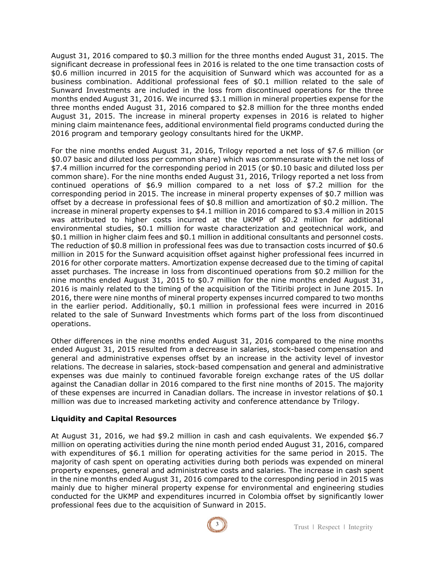August 31, 2016 compared to \$0.3 million for the three months ended August 31, 2015. The significant decrease in professional fees in 2016 is related to the one time transaction costs of \$0.6 million incurred in 2015 for the acquisition of Sunward which was accounted for as a business combination. Additional professional fees of \$0.1 million related to the sale of Sunward Investments are included in the loss from discontinued operations for the three months ended August 31, 2016. We incurred \$3.1 million in mineral properties expense for the three months ended August 31, 2016 compared to \$2.8 million for the three months ended August 31, 2015. The increase in mineral property expenses in 2016 is related to higher mining claim maintenance fees, additional environmental field programs conducted during the 2016 program and temporary geology consultants hired for the UKMP.

For the nine months ended August 31, 2016, Trilogy reported a net loss of \$7.6 million (or \$0.07 basic and diluted loss per common share) which was commensurate with the net loss of \$7.4 million incurred for the corresponding period in 2015 (or \$0.10 basic and diluted loss per common share). For the nine months ended August 31, 2016, Trilogy reported a net loss from continued operations of \$6.9 million compared to a net loss of \$7.2 million for the corresponding period in 2015. The increase in mineral property expenses of \$0.7 million was offset by a decrease in professional fees of \$0.8 million and amortization of \$0.2 million. The increase in mineral property expenses to \$4.1 million in 2016 compared to \$3.4 million in 2015 was attributed to higher costs incurred at the UKMP of \$0.2 million for additional environmental studies, \$0.1 million for waste characterization and geotechnical work, and \$0.1 million in higher claim fees and \$0.1 million in additional consultants and personnel costs. The reduction of \$0.8 million in professional fees was due to transaction costs incurred of \$0.6 million in 2015 for the Sunward acquisition offset against higher professional fees incurred in 2016 for other corporate matters. Amortization expense decreased due to the timing of capital asset purchases. The increase in loss from discontinued operations from \$0.2 million for the nine months ended August 31, 2015 to \$0.7 million for the nine months ended August 31, 2016 is mainly related to the timing of the acquisition of the Titiribi project in June 2015. In 2016, there were nine months of mineral property expenses incurred compared to two months in the earlier period. Additionally, \$0.1 million in professional fees were incurred in 2016 related to the sale of Sunward Investments which forms part of the loss from discontinued operations.

Other differences in the nine months ended August 31, 2016 compared to the nine months ended August 31, 2015 resulted from a decrease in salaries, stock-based compensation and general and administrative expenses offset by an increase in the activity level of investor relations. The decrease in salaries, stock-based compensation and general and administrative expenses was due mainly to continued favorable foreign exchange rates of the US dollar against the Canadian dollar in 2016 compared to the first nine months of 2015. The majority of these expenses are incurred in Canadian dollars. The increase in investor relations of \$0.1 million was due to increased marketing activity and conference attendance by Trilogy.

## **Liquidity and Capital Resources**

At August 31, 2016, we had \$9.2 million in cash and cash equivalents. We expended \$6.7 million on operating activities during the nine month period ended August 31, 2016, compared with expenditures of \$6.1 million for operating activities for the same period in 2015. The majority of cash spent on operating activities during both periods was expended on mineral property expenses, general and administrative costs and salaries. The increase in cash spent in the nine months ended August 31, 2016 compared to the corresponding period in 2015 was mainly due to higher mineral property expense for environmental and engineering studies conducted for the UKMP and expenditures incurred in Colombia offset by significantly lower professional fees due to the acquisition of Sunward in 2015.

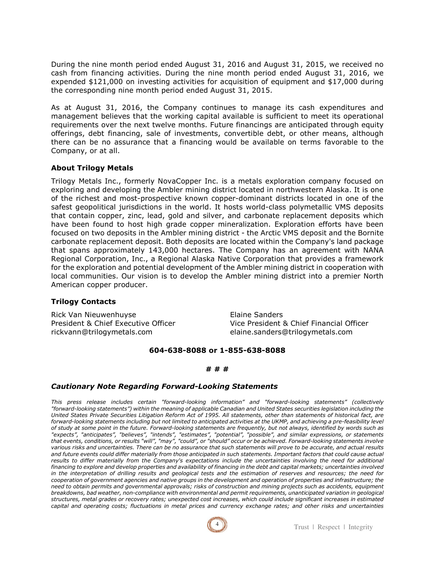During the nine month period ended August 31, 2016 and August 31, 2015, we received no cash from financing activities. During the nine month period ended August 31, 2016, we expended \$121,000 on investing activities for acquisition of equipment and \$17,000 during the corresponding nine month period ended August 31, 2015.

As at August 31, 2016, the Company continues to manage its cash expenditures and management believes that the working capital available is sufficient to meet its operational requirements over the next twelve months. Future financings are anticipated through equity offerings, debt financing, sale of investments, convertible debt, or other means, although there can be no assurance that a financing would be available on terms favorable to the Company, or at all.

## **About Trilogy Metals**

Trilogy Metals Inc., formerly NovaCopper Inc. is a metals exploration company focused on exploring and developing the Ambler mining district located in northwestern Alaska. It is one of the richest and most-prospective known copper-dominant districts located in one of the safest geopolitical jurisdictions in the world. It hosts world-class polymetallic VMS deposits that contain copper, zinc, lead, gold and silver, and carbonate replacement deposits which have been found to host high grade copper mineralization. Exploration efforts have been focused on two deposits in the Ambler mining district - the Arctic VMS deposit and the Bornite carbonate replacement deposit. Both deposits are located within the Company's land package that spans approximately 143,000 hectares. The Company has an agreement with NANA Regional Corporation, Inc., a Regional Alaska Native Corporation that provides a framework for the exploration and potential development of the Ambler mining district in cooperation with local communities. Our vision is to develop the Ambler mining district into a premier North American copper producer.

### **Trilogy Contacts**

Rick Van Nieuwenhuyse Elaine Sanders rickvann@trilogymetals.com elaine.sanders@trilogymetals.com

President & Chief Executive Officer Vice President & Chief Financial Officer

#### **604-638-8088 or 1-855-638-8088**

#### **# # #**

### *Cautionary Note Regarding Forward-Looking Statements*

*This press release includes certain "forward-looking information" and "forward-looking statements" (collectively "forward-looking statements") within the meaning of applicable Canadian and United States securities legislation including the United States Private Securities Litigation Reform Act of 1995. All statements, other than statements of historical fact, are forward-looking statements including but not limited to anticipated activities at the UKMP, and achieving a pre-feasibility level of study at some point in the future. Forward-looking statements are frequently, but not always, identified by words such as "expects", "anticipates", "believes", "intends", "estimates", "potential", "possible", and similar expressions, or statements that events, conditions, or results "will", "may", "could", or "should" occur or be achieved. Forward-looking statements involve various risks and uncertainties. There can be no assurance that such statements will prove to be accurate, and actual results and future events could differ materially from those anticipated in such statements. Important factors that could cause actual*  results to differ materially from the Company's expectations include the uncertainties involving the need for additional *financing to explore and develop properties and availability of financing in the debt and capital markets; uncertainties involved in the interpretation of drilling results and geological tests and the estimation of reserves and resources; the need for cooperation of government agencies and native groups in the development and operation of properties and infrastructure; the need to obtain permits and governmental approvals; risks of construction and mining projects such as accidents, equipment breakdowns, bad weather, non-compliance with environmental and permit requirements, unanticipated variation in geological structures, metal grades or recovery rates; unexpected cost increases, which could include significant increases in estimated capital and operating costs; fluctuations in metal prices and currency exchange rates; and other risks and uncertainties*